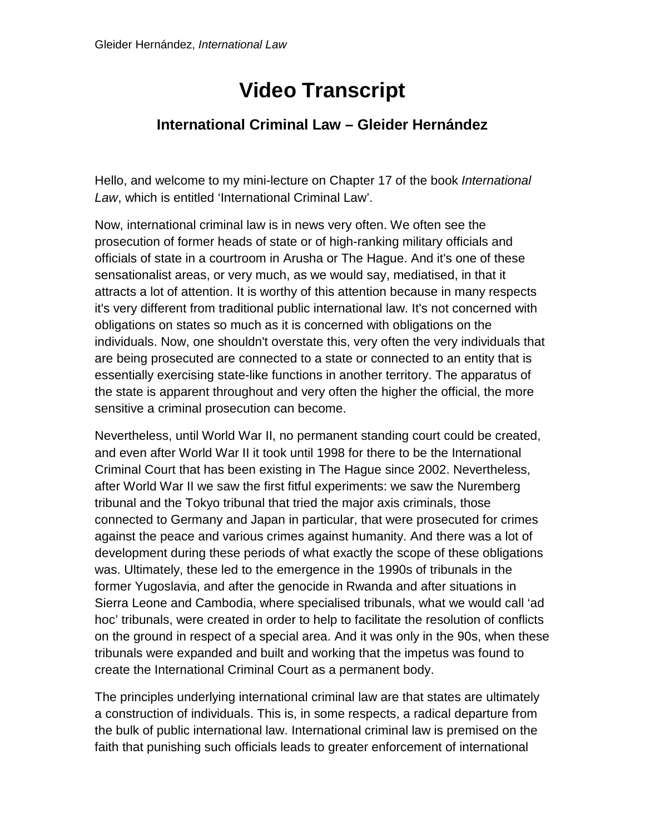## **Video Transcript**

## **International Criminal Law – Gleider Hernández**

Hello, and welcome to my mini-lecture on Chapter 17 of the book *International Law*, which is entitled 'International Criminal Law'.

Now, international criminal law is in news very often. We often see the prosecution of former heads of state or of high-ranking military officials and officials of state in a courtroom in Arusha or The Hague. And it's one of these sensationalist areas, or very much, as we would say, mediatised, in that it attracts a lot of attention. It is worthy of this attention because in many respects it's very different from traditional public international law. It's not concerned with obligations on states so much as it is concerned with obligations on the individuals. Now, one shouldn't overstate this, very often the very individuals that are being prosecuted are connected to a state or connected to an entity that is essentially exercising state-like functions in another territory. The apparatus of the state is apparent throughout and very often the higher the official, the more sensitive a criminal prosecution can become.

Nevertheless, until World War II, no permanent standing court could be created, and even after World War II it took until 1998 for there to be the International Criminal Court that has been existing in The Hague since 2002. Nevertheless, after World War II we saw the first fitful experiments: we saw the Nuremberg tribunal and the Tokyo tribunal that tried the major axis criminals, those connected to Germany and Japan in particular, that were prosecuted for crimes against the peace and various crimes against humanity. And there was a lot of development during these periods of what exactly the scope of these obligations was. Ultimately, these led to the emergence in the 1990s of tribunals in the former Yugoslavia, and after the genocide in Rwanda and after situations in Sierra Leone and Cambodia, where specialised tribunals, what we would call 'ad hoc' tribunals, were created in order to help to facilitate the resolution of conflicts on the ground in respect of a special area. And it was only in the 90s, when these tribunals were expanded and built and working that the impetus was found to create the International Criminal Court as a permanent body.

The principles underlying international criminal law are that states are ultimately a construction of individuals. This is, in some respects, a radical departure from the bulk of public international law. International criminal law is premised on the faith that punishing such officials leads to greater enforcement of international